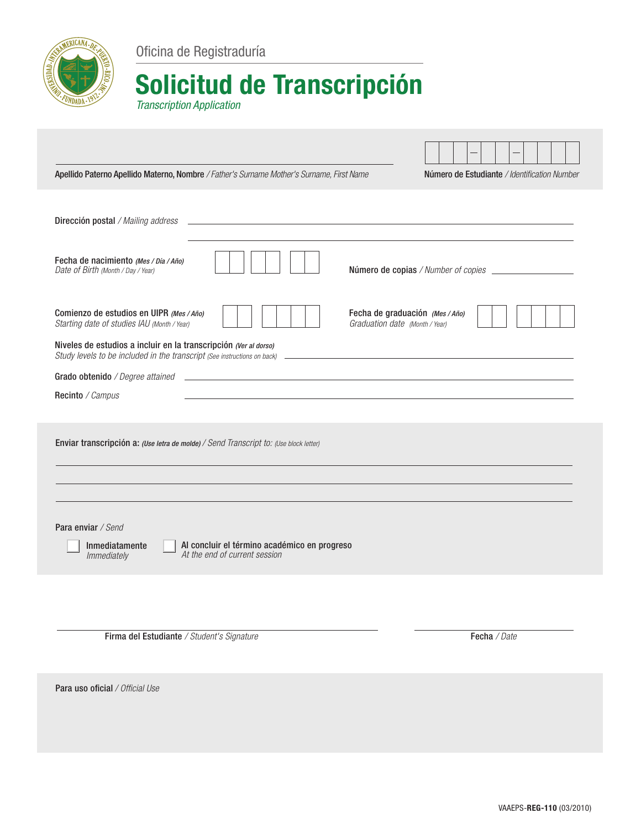

Oficina de Registraduría

## Solicitud de Transcripción

*Transcription Application*

| Apellido Paterno Apellido Materno, Nombre / Father's Surname Mother's Surname, First Name                                                                                                                                                                                | Número de Estudiante / Identification Number |  |  |  |  |
|--------------------------------------------------------------------------------------------------------------------------------------------------------------------------------------------------------------------------------------------------------------------------|----------------------------------------------|--|--|--|--|
|                                                                                                                                                                                                                                                                          |                                              |  |  |  |  |
| Dirección postal / Mailing address                                                                                                                                                                                                                                       |                                              |  |  |  |  |
| Fecha de nacimiento (Mes / Día / Año)<br>Date of Birth (Month / Day / Year)                                                                                                                                                                                              |                                              |  |  |  |  |
| Comienzo de estudios en UIPR (Mes / Año)<br>Fecha de graduación (Mes / Año)<br>Starting date of studies IAU (Month / Year)<br>Graduation date (Month / Year)                                                                                                             |                                              |  |  |  |  |
| Niveles de estudios a incluir en la transcripción (Ver al dorso)                                                                                                                                                                                                         |                                              |  |  |  |  |
| Grado obtenido / Degree attained<br><u>state and the state of the state of the state of the state of the state of the state of the state of the state of the state of the state of the state of the state of the state of the state of the state of the state of the</u> |                                              |  |  |  |  |
| Recinto / Campus                                                                                                                                                                                                                                                         |                                              |  |  |  |  |
|                                                                                                                                                                                                                                                                          |                                              |  |  |  |  |
| Enviar transcripción a: (Use letra de molde) / Send Transcript to: (Use block letter)                                                                                                                                                                                    |                                              |  |  |  |  |
|                                                                                                                                                                                                                                                                          |                                              |  |  |  |  |
|                                                                                                                                                                                                                                                                          |                                              |  |  |  |  |
| Para enviar / Send<br>Al concluir el término académico en progreso<br>Inmediatamente<br>At the end of current session<br>Immediately                                                                                                                                     |                                              |  |  |  |  |
|                                                                                                                                                                                                                                                                          |                                              |  |  |  |  |
|                                                                                                                                                                                                                                                                          |                                              |  |  |  |  |

Firma del Estudiante */ Student's Signature* Fecha */ Date*

Para uso oficial */ Official Use*